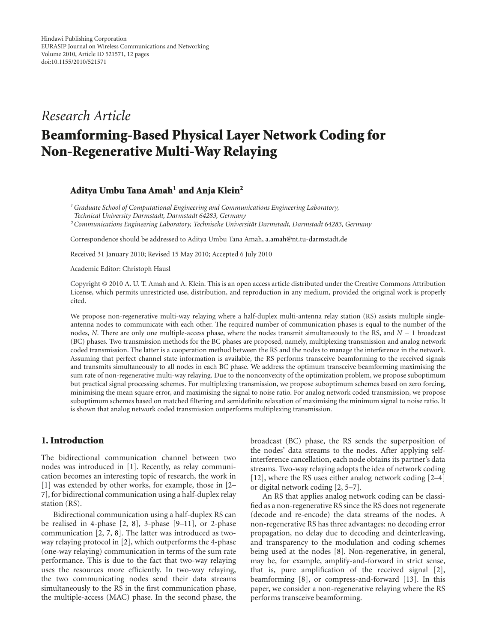# *Research Article*

# **Beamforming-Based Physical Layer Network Coding for Non-Regenerative Multi-Way Relaying**

#### **Aditya Umbu Tana Amah1 and Anja Klein2**

*1Graduate School of Computational Engineering and Communications Engineering Laboratory, Technical University Darmstadt, Darmstadt 64283, Germany 2Communications Engineering Laboratory, Technische Universitat Darmstadt, Darmstadt 64283, Germany ¨*

Correspondence should be addressed to Aditya Umbu Tana Amah, a.amah@nt.tu-darmstadt.de

Received 31 January 2010; Revised 15 May 2010; Accepted 6 July 2010

Academic Editor: Christoph Hausl

Copyright © 2010 A. U. T. Amah and A. Klein. This is an open access article distributed under the Creative Commons Attribution License, which permits unrestricted use, distribution, and reproduction in any medium, provided the original work is properly cited.

We propose non-regenerative multi-way relaying where a half-duplex multi-antenna relay station (RS) assists multiple singleantenna nodes to communicate with each other. The required number of communication phases is equal to the number of the nodes, *<sup>N</sup>*. There are only one multiple-access phase, where the nodes transmit simultaneously to the RS, and *<sup>N</sup>* <sup>−</sup> 1 broadcast (BC) phases. Two transmission methods for the BC phases are proposed, namely, multiplexing transmission and analog network coded transmission. The latter is a cooperation method between the RS and the nodes to manage the interference in the network. Assuming that perfect channel state information is available, the RS performs transceive beamforming to the received signals and transmits simultaneously to all nodes in each BC phase. We address the optimum transceive beamforming maximising the sum rate of non-regenerative multi-way relaying. Due to the nonconvexity of the optimization problem, we propose suboptimum but practical signal processing schemes. For multiplexing transmission, we propose suboptimum schemes based on zero forcing, minimising the mean square error, and maximising the signal to noise ratio. For analog network coded transmission, we propose suboptimum schemes based on matched filtering and semidefinite relaxation of maximising the minimum signal to noise ratio. It is shown that analog network coded transmission outperforms multiplexing transmission.

## **1. Introduction**

The bidirectional communication channel between two nodes was introduced in [1]. Recently, as relay communication becomes an interesting topic of research, the work in [1] was extended by other works, for example, those in [2– 7], for bidirectional communication using a half-duplex relay station (RS).

Bidirectional communication using a half-duplex RS can be realised in 4-phase  $[2, 8]$ , 3-phase  $[9-11]$ , or 2-phase communication [2, 7, 8]. The latter was introduced as twoway relaying protocol in [2], which outperforms the 4-phase (one-way relaying) communication in terms of the sum rate performance. This is due to the fact that two-way relaying uses the resources more efficiently. In two-way relaying, the two communicating nodes send their data streams simultaneously to the RS in the first communication phase, the multiple-access (MAC) phase. In the second phase, the broadcast (BC) phase, the RS sends the superposition of the nodes' data streams to the nodes. After applying selfinterference cancellation, each node obtains its partner's data streams. Two-way relaying adopts the idea of network coding [12], where the RS uses either analog network coding [2–4] or digital network coding [2, 5–7].

An RS that applies analog network coding can be classified as a non-regenerative RS since the RS does not regenerate (decode and re-encode) the data streams of the nodes. A non-regenerative RS has three advantages: no decoding error propagation, no delay due to decoding and deinterleaving, and transparency to the modulation and coding schemes being used at the nodes [8]. Non-regenerative, in general, may be, for example, amplify-and-forward in strict sense, that is, pure amplification of the received signal [2], beamforming [8], or compress-and-forward [13]. In this paper, we consider a non-regenerative relaying where the RS performs transceive beamforming.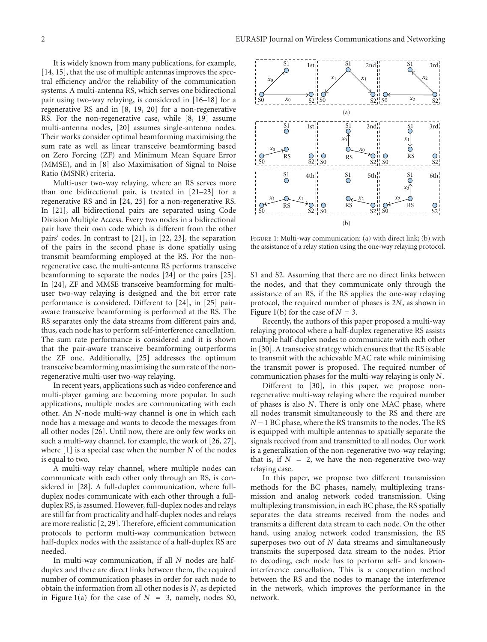It is widely known from many publications, for example, [14, 15], that the use of multiple antennas improves the spectral efficiency and/or the reliability of the communication systems. A multi-antenna RS, which serves one bidirectional pair using two-way relaying, is considered in [16–18] for a regenerative RS and in [8, 19, 20] for a non-regenerative RS. For the non-regenerative case, while [8, 19] assume multi-antenna nodes, [20] assumes single-antenna nodes. Their works consider optimal beamforming maximising the sum rate as well as linear transceive beamforming based on Zero Forcing (ZF) and Minimum Mean Square Error (MMSE), and in [8] also Maximisation of Signal to Noise Ratio (MSNR) criteria.

Multi-user two-way relaying, where an RS serves more than one bidirectional pair, is treated in [21–23] for a regenerative RS and in [24, 25] for a non-regenerative RS. In [21], all bidirectional pairs are separated using Code Division Multiple Access. Every two nodes in a bidirectional pair have their own code which is different from the other pairs' codes. In contrast to [21], in [22, 23], the separation of the pairs in the second phase is done spatially using transmit beamforming employed at the RS. For the nonregenerative case, the multi-antenna RS performs transceive beamforming to separate the nodes [24] or the pairs [25]. In [24], ZF and MMSE transceive beamforming for multiuser two-way relaying is designed and the bit error rate performance is considered. Different to [24], in [25] pairaware transceive beamforming is performed at the RS. The RS separates only the data streams from different pairs and, thus, each node has to perform self-interference cancellation. The sum rate performance is considered and it is shown that the pair-aware transceive beamforming outperforms the ZF one. Additionally, [25] addresses the optimum transceive beamforming maximising the sum rate of the nonregenerative multi-user two-way relaying.

In recent years, applications such as video conference and multi-player gaming are becoming more popular. In such applications, multiple nodes are communicating with each other. An *N*-node multi-way channel is one in which each node has a message and wants to decode the messages from all other nodes [26]. Until now, there are only few works on such a multi-way channel, for example, the work of [26, 27], where [1] is a special case when the number *N* of the nodes is equal to two.

A multi-way relay channel, where multiple nodes can communicate with each other only through an RS, is considered in [28]. A full-duplex communication, where fullduplex nodes communicate with each other through a fullduplex RS, is assumed. However, full-duplex nodes and relays are still far from practicality and half-duplex nodes and relays are more realistic [2, 29]. Therefore, efficient communication protocols to perform multi-way communication between half-duplex nodes with the assistance of a half-duplex RS are needed.

In multi-way communication, if all *N* nodes are halfduplex and there are direct links between them, the required number of communication phases in order for each node to obtain the information from all other nodes is *N*, as depicted in Figure 1(a) for the case of  $N = 3$ , namely, nodes S0,



Figure 1: Multi-way communication: (a) with direct link; (b) with the assistance of a relay station using the one-way relaying protocol.

S1 and S2. Assuming that there are no direct links between the nodes, and that they communicate only through the assistance of an RS, if the RS applies the one-way relaying protocol, the required number of phases is 2*N*, as shown in Figure 1(b) for the case of  $N = 3$ .

Recently, the authors of this paper proposed a multi-way relaying protocol where a half-duplex regenerative RS assists multiple half-duplex nodes to communicate with each other in [30]. A transceive strategy which ensures that the RS is able to transmit with the achievable MAC rate while minimising the transmit power is proposed. The required number of communication phases for the multi-way relaying is only *N*.

Different to [30], in this paper, we propose nonregenerative multi-way relaying where the required number of phases is also *N*. There is only one MAC phase, where all nodes transmit simultaneously to the RS and there are *N* − 1 BC phase, where the RS transmits to the nodes. The RS is equipped with multiple antennas to spatially separate the signals received from and transmitted to all nodes. Our work is a generalisation of the non-regenerative two-way relaying; that is, if  $N = 2$ , we have the non-regenerative two-way relaying case.

In this paper, we propose two different transmission methods for the BC phases, namely, multiplexing transmission and analog network coded transmission. Using multiplexing transmission, in each BC phase, the RS spatially separates the data streams received from the nodes and transmits a different data stream to each node. On the other hand, using analog network coded transmission, the RS superposes two out of *N* data streams and simultaneously transmits the superposed data stream to the nodes. Prior to decoding, each node has to perform self- and knowninterference cancellation. This is a cooperation method between the RS and the nodes to manage the interference in the network, which improves the performance in the network.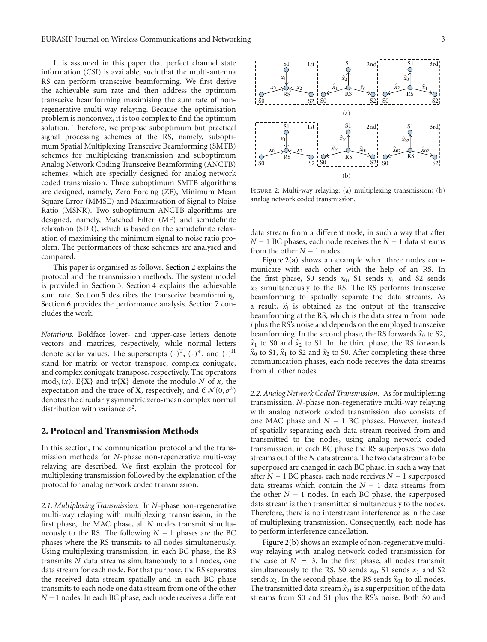It is assumed in this paper that perfect channel state information (CSI) is available, such that the multi-antenna RS can perform transceive beamforming. We first derive the achievable sum rate and then address the optimum transceive beamforming maximising the sum rate of nonregenerative multi-way relaying. Because the optimisation problem is nonconvex, it is too complex to find the optimum solution. Therefore, we propose suboptimum but practical signal processing schemes at the RS, namely, suboptimum Spatial Multiplexing Transceive Beamforming (SMTB) schemes for multiplexing transmission and suboptimum Analog Network Coding Transceive Beamforming (ANCTB) schemes, which are specially designed for analog network coded transmission. Three suboptimum SMTB algorithms are designed, namely, Zero Forcing (ZF), Minimum Mean Square Error (MMSE) and Maximisation of Signal to Noise Ratio (MSNR). Two suboptimum ANCTB algorithms are designed, namely, Matched Filter (MF) and semidefinite relaxation (SDR), which is based on the semidefinite relaxation of maximising the minimum signal to noise ratio problem. The performances of these schemes are analysed and compared.

This paper is organised as follows. Section 2 explains the protocol and the transmission methods. The system model is provided in Section 3. Section 4 explains the achievable sum rate. Section 5 describes the transceive beamforming. Section 6 provides the performance analysis. Section 7 concludes the work.

*Notations.* Boldface lower- and upper-case letters denote vectors and matrices, respectively, while normal letters denote scalar values. The superscripts  $(\cdot)^T$ ,  $(\cdot)^*$ , and  $(\cdot)^H$ stand for matrix or vector transpose, complex conjugate, and complex conjugate transpose, respectively. The operators  $\text{mod}_N(x)$ ,  $E\{X\}$  and  $tr\{X\}$  denote the modulo *N* of *x*, the expectation and the trace of **X**, respectively, and  $C\mathcal{N}(0, \sigma^2)$ denotes the circularly symmetric zero-mean complex normal distribution with variance *σ*2.

#### **2. Protocol and Transmission Methods**

In this section, the communication protocol and the transmission methods for *N*-phase non-regenerative multi-way relaying are described. We first explain the protocol for multiplexing transmission followed by the explanation of the protocol for analog network coded transmission.

*2.1. Multiplexing Transmission.* In *N*-phase non-regenerative multi-way relaying with multiplexing transmission, in the first phase, the MAC phase, all *N* nodes transmit simultaneously to the RS. The following *<sup>N</sup>* <sup>−</sup> 1 phases are the BC phases where the RS transmits to all nodes simultaneously. Using multiplexing transmission, in each BC phase, the RS transmits *N* data streams simultaneously to all nodes, one data stream for each node. For that purpose, the RS separates the received data stream spatially and in each BC phase transmits to each node one data stream from one of the other *<sup>N</sup>* <sup>−</sup>1 nodes. In each BC phase, each node receives a different



Figure 2: Multi-way relaying: (a) multiplexing transmission; (b) analog network coded transmission.

data stream from a different node, in such a way that after *<sup>N</sup>* <sup>−</sup> 1 BC phases, each node receives the *<sup>N</sup>* <sup>−</sup> 1 data streams from the other  $N-1$  nodes.

Figure 2(a) shows an example when three nodes communicate with each other with the help of an RS. In the first phase, S0 sends  $x_0$ , S1 sends  $x_1$  and S2 sends *x*<sup>2</sup> simultaneously to the RS. The RS performs transceive beamforming to spatially separate the data streams. As  $x_2$  simultaneously to the RS. The RS performs transceive<br>beamforming to spatially separate the data streams. As<br>a result,  $\hat{x}_i$  is obtained as the output of the transceive beamforming at the RS, which is the data stream from node *i* plus the RS's noise and depends on the employed transceive beamforming. In the second phase, the RS forwards  $\hat{x}_0$  to S2, *i* plus the RS's noise and depends on the employed transceive  $\varepsilon_0$  to S2,  $\vec{i}$  b  $\hat{x}$ plus the RS's r<br>eamforming.<br> $x_i$  to S0 and  $\hat{x}$  $\hat{x}_1$  to S0 and  $\hat{x}_2$  to S1. In the third phase, the RS forwards *b*<sub> $\hat{x}$ </sub> eamforming. In the see<br>  $\hat{x}_1$  to S0 and  $\hat{x}_2$  to S1.<br>  $\hat{x}_0$  to S1,  $\hat{x}_1$  to S2 and  $\hat{x}_1$  $\hat{x}_0$  to S1,  $\hat{x}_1$  to S2 and  $\hat{x}_2$  to S0. After completing these three communication phases, each node receives the data streams from all other nodes.

*2.2. Analog Network Coded Transmission.* As for multiplexing transmission, *N*-phase non-regenerative multi-way relaying with analog network coded transmission also consists of one MAC phase and *<sup>N</sup>* <sup>−</sup> 1 BC phases. However, instead of spatially separating each data stream received from and transmitted to the nodes, using analog network coded transmission, in each BC phase the RS superposes two data streams out of the *N* data streams. The two data streams to be superposed are changed in each BC phase, in such a way that after *<sup>N</sup>* <sup>−</sup> 1 BC phases, each node receives *<sup>N</sup>* <sup>−</sup> 1 superposed data streams which contain the  $N - 1$  data streams from the other *<sup>N</sup>* <sup>−</sup> 1 nodes. In each BC phase, the superposed data stream is then transmitted simultaneously to the nodes. Therefore, there is no interstream interference as in the case of multiplexing transmission. Consequently, each node has to perform interference cancellation.

Figure 2(b) shows an example of non-regenerative multiway relaying with analog network coded transmission for the case of  $N = 3$ . In the first phase, all nodes transmit simultaneously to the RS, S0 sends  $x_0$ , S1 sends  $x_1$  and S2 the case of  $N = 3$ . In the first phase, all r<br>simultaneously to the RS, S0 sends  $x_0$ , S1 se<br>sends  $x_2$ . In the second phase, the RS sends  $\hat{x}$ sends  $x_2$ . In the second phase, the RS sends  $\hat{x}_{01}$  to all nodes. simultaneously to the RS, S0<br>sends  $x_2$ . In the second phase<br>The transmitted data stream  $\hat{x}$ The transmitted data stream  $\hat{x}_{01}$  is a superposition of the data streams from S0 and S1 plus the RS's noise. Both S0 and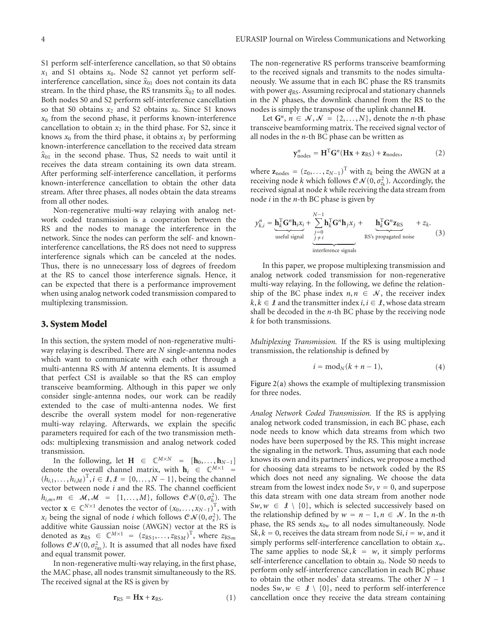S1 perform self-interference cancellation, so that S0 obtains  $x_1$  and S1 obtains  $x_0$ . Node S2 cannot yet perform self-S1 perform self-interference cancellation, so that S0 obtains  $x_1$  and S1 obtains  $x_0$ . Node S2 cannot yet perform self-interference cancellation, since  $\hat{x}_{01}$  does not contain its data  $x_1$  and S1 obtains  $x_0$ . Node S2 cannot yet<br>interference cancellation, since  $\hat{x}_{01}$  does not c<br>stream. In the third phase, the RS transmits  $\hat{x}$ stream. In the third phase, the RS transmits  $\hat{x}_{02}$  to all nodes. Both nodes S0 and S2 perform self-interference cancellation so that S0 obtains  $x_2$  and S2 obtains  $x_0$ . Since S1 knows  $x_0$  from the second phase, it performs known-interference cancellation to obtain  $x_2$  in the third phase. For S2, since it knows  $x_0$  from the third phase, it obtains  $x_1$  by performing known-interference cancellation to the received data stream *x*- $\hat{x}_{01}$  in the second phase. Thus, S2 needs to wait until it receives the data stream containing its own data stream. After performing self-interference cancellation, it performs known-interference cancellation to obtain the other data stream. After three phases, all nodes obtain the data streams from all other nodes.

Non-regenerative multi-way relaying with analog network coded transmission is a cooperation between the RS and the nodes to manage the interference in the network. Since the nodes can perform the self- and knowninterference cancellations, the RS does not need to suppress interference signals which can be canceled at the nodes. Thus, there is no unnecessary loss of degrees of freedom at the RS to cancel those interference signals. Hence, it can be expected that there is a performance improvement when using analog network coded transmission compared to multiplexing transmission.

#### **3. System Model**

In this section, the system model of non-regenerative multiway relaying is described. There are *N* single-antenna nodes which want to communicate with each other through a multi-antenna RS with *M* antenna elements. It is assumed that perfect CSI is available so that the RS can employ transceive beamforming. Although in this paper we only consider single-antenna nodes, our work can be readily extended to the case of multi-antenna nodes. We first describe the overall system model for non-regenerative multi-way relaying. Afterwards, we explain the specific parameters required for each of the two transmission methods: multiplexing transmission and analog network coded transmission.

In the following, let  $H \in \mathbb{C}^{M \times N} = [\mathbf{h}_0, \dots, \mathbf{h}_{N-1}]$ denote the overall channel matrix, with  $h_i \in \mathbb{C}^{M \times 1}$  $(h_{i,1},...,h_{i,M})^T$ ,  $i \in \mathcal{I}, \mathcal{I} = \{0,...,N-1\}$ , being the channel vector between node *i* and the RS. The channel coefficient  $h_{i,m}, m \in \mathcal{M}, \mathcal{M} = \{1, \ldots, M\}$ , follows  $\mathcal{CN}(0, \sigma_h^2)$ . The vector  $\mathbf{x} \in \mathbb{C}^{N \times 1}$  denotes the vector of  $(x_0, \ldots, x_{N-1})^T$ , with *x<sub>i</sub>* being the signal of node *i* which follows  $C \mathcal{N}(0, \sigma_x^2)$ . The additive white Gaussian noise (AWGN) vector at the RS is denoted as  $\mathbf{z}_{RS} \in \mathbb{C}^{M \times 1} = (z_{RS1}, \ldots, z_{RSM})^T$ , where  $z_{RSm}$ follows  $C\mathcal{N}(0, \sigma_{z_{\text{RS}}}^2)$ . It is assumed that all nodes have fixed and equal transmit power.

In non-regenerative multi-way relaying, in the first phase, the MAC phase, all nodes transmit simultaneously to the RS. The received signal at the RS is given by

$$
\mathbf{r}_{RS} = \mathbf{H}\mathbf{x} + \mathbf{z}_{RS}.
$$
 (1)

The non-regenerative RS performs transceive beamforming to the received signals and transmits to the nodes simultaneously. We assume that in each BC phase the RS transmits with power *q*<sub>RS</sub>. Assuming reciprocal and stationary channels in the *N* phases, the downlink channel from the RS to the nodes is simply the transpose of the uplink channel **H**.

Let  $G^n$ ,  $n \in \mathcal{N}, \mathcal{N} = \{2, \ldots, N\}$ , denote the *n*-th phase transceive beamforming matrix. The received signal vector of all nodes in the *n*-th BC phase can be written as

$$
\mathbf{y}_{\text{nodes}}^n = \mathbf{H}^{\text{T}} \mathbf{G}^n (\mathbf{H} \mathbf{x} + \mathbf{z}_{\text{RS}}) + \mathbf{z}_{\text{nodes}}, \tag{2}
$$

where  $\mathbf{z}_{\text{nodes}} = (z_0, \dots, z_{N-1})^\text{T}$  with  $z_k$  being the AWGN at a receiving node *k* which follows  $C\mathcal{N}(0, \sigma_{z_k}^2)$ . Accordingly, the received signal at node *k* while receiving the data stream from node *i* in the *n*-th BC phase is given by

$$
y_{k,i}^{n} = \underbrace{\mathbf{h}_{k}^{T} \mathbf{G}^{n} \mathbf{h}_{i} x_{i}}_{\text{useful signal}} + \underbrace{\sum_{j=0}^{N-1} \mathbf{h}_{k}^{T} \mathbf{G}^{n} \mathbf{h}_{j} x_{j}}_{\text{interference signals}} + \underbrace{\mathbf{h}_{k}^{T} \mathbf{G}^{n} \mathbf{z}_{\text{RS}}}^{\text{max}} + z_{k}. \tag{3}
$$

In this paper, we propose multiplexing transmission and analog network coded transmission for non-regenerative multi-way relaying. In the following, we define the relationship of the BC phase index  $n, n \in \mathcal{N}$ , the receiver index  $k, k \in \mathcal{I}$  and the transmitter index  $i, i \in \mathcal{I}$ , whose data stream shall be decoded in the *n*-th BC phase by the receiving node *k* for both transmissions.

*Multiplexing Transmission.* If the RS is using multiplexing transmission, the relationship is defined by

$$
i = \text{mod}_N(k + n - 1),\tag{4}
$$

Figure 2(a) shows the example of multiplexing transmission for three nodes.

*Analog Network Coded Transmission.* If the RS is applying analog network coded transmission, in each BC phase, each node needs to know which data streams from which two nodes have been superposed by the RS. This might increase the signaling in the network. Thus, assuming that each node knows its own and its partners' indices, we propose a method for choosing data streams to be network coded by the RS which does not need any signaling. We choose the data stream from the lowest index node  $Sv$ ,  $v = 0$ , and superpose this data stream with one data stream from another node  $Sw, w \in \mathcal{I} \setminus \{0\}$ , which is selected successively based on the relationship defined by  $w = n - 1, n \in \mathcal{N}$ . In the *n*-th phase, the RS sends  $x_{0w}$  to all nodes simultaneously. Node Sk,  $k = 0$ , receives the data stream from node S*i*,  $i = w$ , and it simply performs self-interference cancellation to obtain *xw*. The same applies to node  $Sk, k = w$ , it simply performs self-interference cancellation to obtain *x*0. Node S0 needs to perform only self-interference cancellation in each BC phase to obtain the other nodes' data streams. The other *<sup>N</sup>* <sup>−</sup> <sup>1</sup> nodes  $Sw, w \in \mathcal{I} \setminus \{0\}$ , need to perform self-interference cancellation once they receive the data stream containing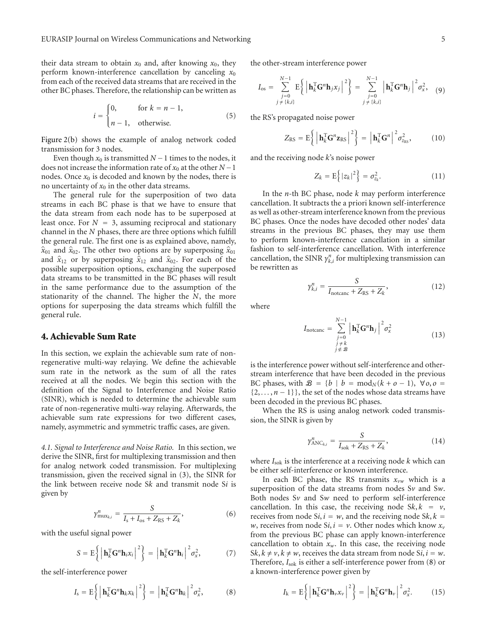their data stream to obtain  $x_0$  and, after knowing  $x_0$ , they perform known-interference cancellation by canceling  $x_0$ from each of the received data streams that are received in the ⎧nom each of the received data streams that are received in the<br>other BC phases. Therefore, the relationship can be written as

$$
i = \begin{cases} 0, & \text{for } k = n - 1, \\ n - 1, & \text{otherwise.} \end{cases} \tag{5}
$$

Figure 2(b) shows the example of analog network coded transmission for 3 nodes.

Even though  $x_0$  is transmitted  $N-1$  times to the nodes, it does not increase the information rate of  $x_0$  at the other  $N-1$ nodes. Once  $x_0$  is decoded and known by the nodes, there is no uncertainty of  $x_0$  in the other data streams.

The general rule for the superposition of two data streams in each BC phase is that we have to ensure that the data stream from each node has to be superposed at least once. For  $N = 3$ , assuming reciprocal and stationary channel in the *N* phases, there are three options which fulfill the general rule. The first one is as explained above, namely,  $\hat{x}_{01}$  and  $\hat{x}_{02}$ . The other two options are by superposing  $\hat{x}_{01}$ the general rule. The first one is as explained above, namely, *x*- $\hat{x}_{01}$  and  $\hat{x}_{02}$ . The other two options are by superposing  $\hat{x}_{01}$ the general rule. The first one is as explained above, namely,  $\hat{x}_{01}$  and  $\hat{x}_{02}$ . The other two options are by superposing  $\hat{x}_{01}$  and  $\hat{x}_{12}$  or by superposing  $\hat{x}_{12}$  and  $\hat{x}_{02}$ . For each of the possible superposition options, exchanging the superposed data streams to be transmitted in the BC phases will result in the same performance due to the assumption of the stationarity of the channel. The higher the *N*, the more options for superposing the data streams which fulfill the general rule.

#### **4. Achievable Sum Rate**

In this section, we explain the achievable sum rate of nonregenerative multi-way relaying. We define the achievable sum rate in the network as the sum of all the rates received at all the nodes. We begin this section with the definition of the Signal to Interference and Noise Ratio (SINR), which is needed to determine the achievable sum rate of non-regenerative multi-way relaying. Afterwards, the achievable sum rate expressions for two different cases, namely, asymmetric and symmetric traffic cases, are given.

*4.1. Signal to Interference and Noise Ratio.* In this section, we derive the SINR, first for multiplexing transmission and then for analog network coded transmission. For multiplexing transmission, given the received signal in (3), the SINR for the link between receive node S*k* and transmit node S*i* is given by

$$
\gamma_{\max_{k,i}}^{n} = \frac{S}{I_s + I_{os} + Z_{RS} + Z_k},
$$
\n(6)

with the useful signal power 

$$
S = E\left\{ \left| \mathbf{h}_{k}^{T} \mathbf{G}^{n} \mathbf{h}_{i} x_{i} \right|^{2} \right\} = \left| \mathbf{h}_{k}^{T} \mathbf{G}^{n} \mathbf{h}_{i} \right|^{2} \sigma_{x}^{2}, \tag{7}
$$

the self-interference power 

$$
I_{\rm s} = \mathbf{E} \left\{ \left| \mathbf{h}_{k}^{\rm T} \mathbf{G}^{n} \mathbf{h}_{k} x_{k} \right|^{2} \right\} = \left| \mathbf{h}_{k}^{\rm T} \mathbf{G}^{n} \mathbf{h}_{k} \right|^{2} \sigma_{x}^{2}, \tag{8}
$$

the other-stream interference power  $ce$ 

$$
I_{\text{os}} = \sum_{\substack{j=0 \ j \neq \{k,i\}}}^{N-1} E\bigg\{ \Big| \mathbf{h}_k^{\mathrm{T}} \mathbf{G}^n \mathbf{h}_j x_j \Big|^2 \bigg\} = \sum_{\substack{j=0 \ j \neq \{k,i\}}}^{N-1} \Big| \mathbf{h}_k^{\mathrm{T}} \mathbf{G}^n \mathbf{h}_j \Big|^2 \sigma_x^2, \quad (9)
$$

the RS's propagated noise power 

$$
Z_{\rm RS} = \mathrm{E}\left\{\left|\mathbf{h}_{k}^{\mathrm{T}}\mathbf{G}^{n}\mathbf{z}_{\rm RS}\right|^{2}\right\} = \left|\mathbf{h}_{k}^{\mathrm{T}}\mathbf{G}^{n}\right|^{2}\sigma_{z_{\rm RS}}^{2},\tag{10}
$$

and the receiving node *k*'s noise power

$$
Z_k = \mathbb{E}\left\{ |z_k|^2 \right\} = \sigma_{z_k}^2. \tag{11}
$$

In the *n*-th BC phase, node *k* may perform interference cancellation. It subtracts the a priori known self-interference as well as other-stream interference known from the previous BC phases. Once the nodes have decoded other nodes' data streams in the previous BC phases, they may use them to perform known-interference cancellation in a similar fashion to self-interference cancellation. With interference cancellation, the SINR  $\gamma_{k,i}^n$  for multiplexing transmission can be rewritten as

$$
\gamma_{k,i}^{n} = \frac{S}{I_{\text{notcanc}} + Z_{\text{RS}} + Z_k},\tag{12}
$$

where

$$
I_{\text{notcanc}} = \sum_{\substack{j=0 \ j \neq k}}^{N-1} \left| \mathbf{h}_k^{\text{T}} \mathbf{G}^n \mathbf{h}_j \right|^2 \sigma_x^2
$$
\n
$$
(13)
$$

is the interference power without self-interference and otherstream interference that have been decoded in the previous BC phases, with  $\mathcal{B} = \{b \mid b = \text{mod}_N (k + o - 1), \forall o, o = 0\}$  $\{2, \ldots, n-1\}$ , the set of the nodes whose data streams have been decoded in the previous BC phases.

When the RS is using analog network coded transmission, the SINR is given by

$$
\gamma_{\text{ANC}_{k,i}}^n = \frac{S}{I_{\text{sok}} + Z_{\text{RS}} + Z_k},\tag{14}
$$

where *I*sok is the interference at a receiving node *k* which can be either self-interference or known interference.

In each BC phase, the RS transmits  $x_{vw}$  which is a superposition of the data streams from nodes S*v* and S*w*. Both nodes S*v* and S*w* need to perform self-interference cancellation. In this case, the receiving node  $Sk, k = v$ , receives from node S*i*,  $i = w$ , and the receiving node S*k*,  $k =$ *w*, receives from node *Si*,  $i = v$ . Other nodes which know  $x_v$ from the previous BC phase can apply known-interference cancellation to obtain  $x_w$ . In this case, the receiving node Sk,  $k \neq v$ ,  $k \neq w$ , receives the data stream from node S*i*,  $i = w$ . Therefore,  $I_{sok}$  is either a self-interference power from (8) or a known-interference power given by 

$$
I_{k} = E\left\{ \left| \mathbf{h}_{k}^{T} \mathbf{G}^{n} \mathbf{h}_{\nu} x_{\nu} \right|^{2} \right\} = \left| \mathbf{h}_{k}^{T} \mathbf{G}^{n} \mathbf{h}_{\nu} \right|^{2} \sigma_{x}^{2}.
$$
 (15)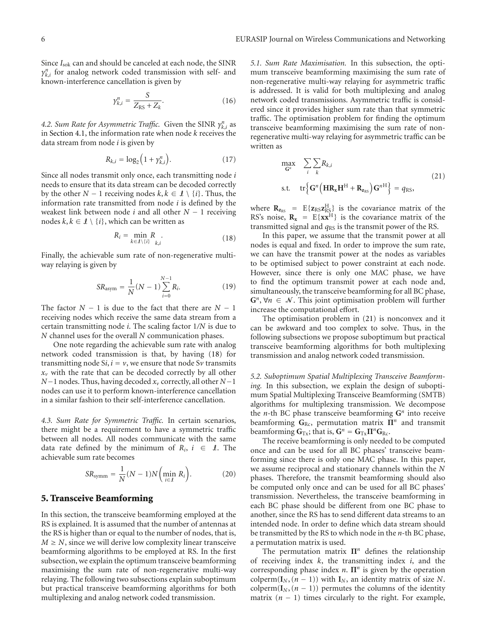Since *I*<sub>sok</sub> can and should be canceled at each node, the SINR  $\gamma_{k,i}^n$  for analog network coded transmission with self- and known-interference cancellation is given by

$$
\gamma_{k,i}^n = \frac{S}{Z_{\rm RS} + Z_k}.\tag{16}
$$

*4.2. Sum Rate for Asymmetric Traffic.* Given the SINR  $\gamma_{k,i}^n$  as in Section 4.1, the information rate when node  $k$  receives the data stream from node *i* is given by

$$
R_{k,i} = \log_2\left(1 + \gamma_{k,i}^n\right). \tag{17}
$$

Since all nodes transmit only once, each transmitting node *i* needs to ensure that its data stream can be decoded correctly by the other *N* − 1 receiving nodes  $k, k \in \mathcal{I} \setminus \{i\}$ . Thus, the information rate transmitted from node *i* is defined by the weakest link between node *<sup>i</sup>* and all other *<sup>N</sup>* <sup>−</sup> 1 receiving nodes  $k, k \in \mathcal{I} \setminus \{i\}$ , which can be written as

$$
R_i = \min_{k \in I \setminus \{i\}} R_{k,i} \tag{18}
$$

Finally, the achievable sum rate of non-regenerative multiway relaying is given by

$$
SR_{\text{asym}} = \frac{1}{N}(N-1)\sum_{i=0}^{N-1} R_i.
$$
 (19)

The factor  $N - 1$  is due to the fact that there are  $N - 1$ receiving nodes which receive the same data stream from a certain transmitting node *i*. The scaling factor 1*/N* is due to *N* channel uses for the overall *N* communication phases.

One note regarding the achievable sum rate with analog network coded transmission is that, by having (18) for transmitting node S*i*,  $i = v$ , we ensure that node S*v* transmits *xv* with the rate that can be decoded correctly by all other *N*−1 nodes. Thus, having decoded  $x<sub>v</sub>$  correctly, all other *N*−1 nodes can use it to perform known-interference cancellation in a similar fashion to their self-interference cancellation.

*4.3. Sum Rate for Symmetric Traffic.* In certain scenarios, there might be a requirement to have a symmetric traffic between all nodes. All nodes communicate with the same data rate defined by the minimum of  $R_i$ ,  $i \in \mathcal{I}$ . The achievable sum rate becomes

$$
SR_{\text{symm}} = \frac{1}{N}(N-1)N\left(\min_{i\in\mathcal{I}} R_i\right). \tag{20}
$$

#### **5. Transceive Beamforming**

In this section, the transceive beamforming employed at the RS is explained. It is assumed that the number of antennas at the RS is higher than or equal to the number of nodes, that is,  $M \geq N$ , since we will derive low complexity linear transceive beamforming algorithms to be employed at RS. In the first subsection, we explain the optimum transceive beamforming maximising the sum rate of non-regenerative multi-way relaying. The following two subsections explain suboptimum but practical transceive beamforming algorithms for both multiplexing and analog network coded transmission.

*5.1. Sum Rate Maximisation.* In this subsection, the optimum transceive beamforming maximising the sum rate of non-regenerative multi-way relaying for asymmetric traffic is addressed. It is valid for both multiplexing and analog network coded transmissions. Asymmetric traffic is considered since it provides higher sum rate than that symmetric traffic. The optimisation problem for finding the optimum transceive beamforming maximising the sum rate of nonregenerative multi-way relaying for asymmetric traffic can be written as

$$
\max_{\mathbf{G}^n} \quad \sum_{i} \sum_{k} R_{k,i} \tag{21}
$$
\n
$$
\text{s.t.} \quad \text{tr}\left\{\mathbf{G}^n \left(\mathbf{H}\mathbf{R}_{\mathbf{x}}\mathbf{H}^{\mathrm{H}} + \mathbf{R}_{\mathbf{z}_{\mathrm{RS}}}\right)\mathbf{G}^{n\mathrm{H}}\right\} = q_{\mathrm{RS}},
$$

where  $\mathbf{R}_{z_{RS}} = E\{z_{RS}z_{RS}^H\}$  is the covariance matrix of the RS's noise,  $\mathbf{R}_{\mathbf{x}} = \mathbf{E}\{\mathbf{x}\mathbf{x}^{\text{H}}\}$  is the covariance matrix of the transmitted signal and  $q_{RS}$  is the transmit power of the RS.

In this paper, we assume that the transmit power at all nodes is equal and fixed. In order to improve the sum rate, we can have the transmit power at the nodes as variables to be optimised subject to power constraint at each node. However, since there is only one MAC phase, we have to find the optimum transmit power at each node and, simultaneously, the transceive beamforming for all BC phase,  $G^n$ ,  $\forall n \in \mathcal{N}$ . This joint optimisation problem will further increase the computational effort.

The optimisation problem in (21) is nonconvex and it can be awkward and too complex to solve. Thus, in the following subsections we propose suboptimum but practical transceive beamforming algorithms for both multiplexing transmission and analog network coded transmission.

*5.2. Suboptimum Spatial Multiplexing Transceive Beamforming.* In this subsection, we explain the design of suboptimum Spatial Multiplexing Transceive Beamforming (SMTB) algorithms for multiplexing transmission. We decompose the *n*-th BC phase transceive beamforming **G***<sup>n</sup>* into receive beamforming **G**Rc, permutation matrix **Π***<sup>n</sup>* and transmit beamforming  $G_{Tx}$ ; that is,  $G^n = G_{Tx} \Pi^n G_{Rc}$ .

The receive beamforming is only needed to be computed once and can be used for all BC phases' transceive beamforming since there is only one MAC phase. In this paper, we assume reciprocal and stationary channels within the *N* phases. Therefore, the transmit beamforming should also be computed only once and can be used for all BC phases' transmission. Nevertheless, the transceive beamforming in each BC phase should be different from one BC phase to another, since the RS has to send different data streams to an intended node. In order to define which data stream should be transmitted by the RS to which node in the *n*-th BC phase, a permutation matrix is used.

The permutation matrix **Π***<sup>n</sup>* defines the relationship of receiving index *k*, the transmitting index *i*, and the corresponding phase index *n*. **Π***<sup>n</sup>* is given by the operation colperm( $\mathbf{I}_N$ ,  $(n - 1)$ ) with  $\mathbf{I}_N$ , an identity matrix of size *N*. colperm( $\mathbf{I}_N$ ,  $(n-1)$ ) permutes the columns of the identity matrix  $(n - 1)$  times circularly to the right. For example,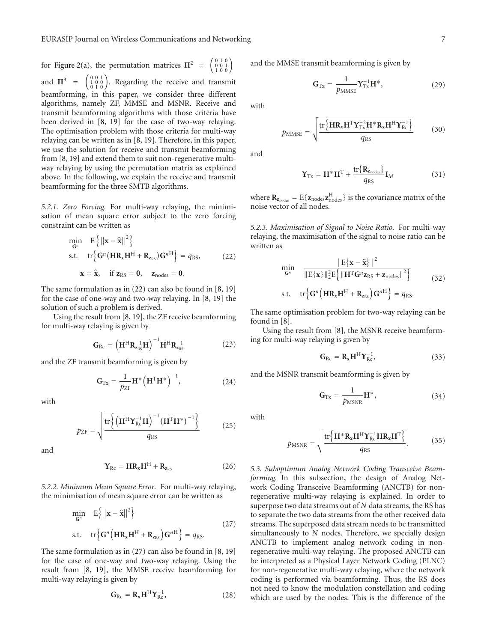EURASIP Journal on Wireless Communications and Netwo<br>for Figure 2(a), the permutation matrices  $\Pi^2 = \begin{pmatrix} 0 & 1 & 0 \\ 0 & 0 & 1 \\ 1 & 0 & 0 \end{pmatrix}$ for Figure 2(a), the permutation matrices  $\Pi^2 = \begin{pmatrix} 0 & 1 & 0 \\ 0 & 0 & 1 \\ 1 & 0 & 0 \end{pmatrix}$ <br>and  $\Pi^3 = \begin{pmatrix} 0 & 0 & 1 \\ 1 & 0 & 0 \\ 0 & 1 & 0 \end{pmatrix}$ . Regarding the receive and transmit beamforming, in this paper, we consider three different algorithms, namely ZF, MMSE and MSNR. Receive and transmit beamforming algorithms with those criteria have been derived in [8, 19] for the case of two-way relaying. The optimisation problem with those criteria for multi-way relaying can be written as in [8, 19]. Therefore, in this paper, we use the solution for receive and transmit beamforming from [8, 19] and extend them to suit non-regenerative multiway relaying by using the permutation matrix as explained above. In the following, we explain the receive and transmit beamforming for the three SMTB algorithms.

*5.2.1. Zero Forcing.* For multi-way relaying, the minimisation of mean square error subject to the zero forcing **constraint can be written as<br>**  $\min_{\mathbf{C}^n} \mathbf{E} \left\{ ||\mathbf{x} - \hat{\mathbf{x}}||^2 \right\}$ 

nt can be written as  
\n
$$
\min_{\mathbf{G}^{n}} \mathbf{E} \{ ||\mathbf{x} - \hat{\mathbf{x}}||^{2} \}
$$
\ns.t. 
$$
\text{tr} \{ \mathbf{G}^{n} (\mathbf{H} \mathbf{R}_{\mathbf{x}} \mathbf{H}^{H} + \mathbf{R}_{\mathbf{z}_{RS}}) \mathbf{G}^{nH} \} = q_{RS},
$$
\n
$$
\mathbf{x} = \hat{\mathbf{x}}, \quad \text{if } \mathbf{z}_{RS} = \mathbf{0}, \quad \mathbf{z}_{nodes} = \mathbf{0}.
$$
\n(22)

The same formulation as in (22) can also be found in [8, 19] for the case of one-way and two-way relaying. In [8, 19] the solution of such a problem is derived.

Using the result from [8, 19], the ZF receive beamforming for multi-way relaying is given by

$$
\mathbf{G}_{Rc} = \left(\mathbf{H}^{H} \mathbf{R}_{\mathbf{z}_{RS}}^{-1} \mathbf{H}\right)^{-1} \mathbf{H}^{H} \mathbf{R}_{\mathbf{z}_{RS}}^{-1}
$$
(23)

and the ZF transmit beamforming is given by

$$
\mathbf{G}_{\mathrm{Tx}} = \frac{1}{p_{\mathrm{ZF}}} \mathbf{H}^* \left( \mathbf{H}^{\mathrm{T}} \mathbf{H}^* \right)^{-1},\tag{24}
$$

with

$$
p_{ZF} \t{p_{ZF}} \t{25}
$$
\n
$$
p_{ZF} = \sqrt{\frac{\text{tr}\left\{ \left( \mathbf{H}^H \mathbf{Y}_{Rc}^{-1} \mathbf{H} \right)^{-1} \left( \mathbf{H}^T \mathbf{H}^* \right)^{-1} \right\}}{q_{RS}}}
$$
\n(25)

and

$$
\Upsilon_{Rc} = HR_xH^H + R_{z_{RS}} \tag{26}
$$

*5.2.2. Minimum Mean Square Error.* For multi-way relaying, the minimisation of mean square error can be written as<br>  $\min_{\mathbf{C}^n} \mathbb{E}\left\{\|\mathbf{x} - \hat{\mathbf{x}}\|^2\right\}$ 

$$
\min_{\mathbf{G}^n} \quad \mathbf{E}\left\{||\mathbf{x} - \hat{\mathbf{x}}||^2\right\}
$$
\n
$$
\text{s.t.} \quad \text{tr}\left\{\mathbf{G}^n \left(\mathbf{H}\mathbf{R}_{\mathbf{x}}\mathbf{H}^{\mathrm{H}} + \mathbf{R}_{\mathbf{z}_{\mathrm{RS}}}\right)\mathbf{G}^{n\mathrm{H}}\right\} = q_{\mathrm{RS}}.
$$
\n(27)

The same formulation as in (27) can also be found in [8, 19] for the case of one-way and two-way relaying. Using the result from [8, 19], the MMSE receive beamforming for multi-way relaying is given by

$$
\mathbf{G}_{\text{Rc}} = \mathbf{R}_{\mathbf{x}} \mathbf{H}^{\text{H}} \mathbf{\Upsilon}_{\text{Rc}}^{-1},\tag{28}
$$

and the MMSE transmit beamforming is given by

$$
\mathbf{G}_{\mathrm{Tx}} = \frac{1}{p_{\mathrm{MMSE}}} \mathbf{\Upsilon}_{\mathrm{Tx}}^{-1} \mathbf{H}^*,\tag{29}
$$

with

$$
p_{\text{MMSE}} = \sqrt{\frac{\text{tr}\left\{\mathbf{H}\mathbf{R}_{\mathbf{x}}\mathbf{H}^{\text{T}}\mathbf{Y}_{\text{Tx}}^{-2}\mathbf{H}^*\mathbf{R}_{\mathbf{x}}\mathbf{H}^{\text{H}}\mathbf{Y}_{\text{RC}}^{-1}\right\}}{q_{\text{RS}}}}
$$
(30)

and

$$
\mathbf{Y}_{\text{Tx}} = \mathbf{H}^* \mathbf{H}^{\text{T}} + \frac{\text{tr}\{\mathbf{R}_{\text{Znodes}}\}}{q_{\text{RS}}} \mathbf{I}_M \tag{31}
$$

where  $\mathbf{R}_{z_{\text{nodes}}} = E\{\mathbf{z}_{\text{nodes}}\mathbf{z}_{\text{nodes}}^H\}$  is the covariance matrix of the noise vector of all nodes.

*5.2.3. Maximisation of Signal to Noise Ratio.* For multi-way relaying, the maximisation of the signal to noise ratio can be written as  $\mathbf{x} - \hat{\mathbf{x}}$ 

$$
\min_{\mathbf{G}^n} \quad \frac{\left| \mathbf{E}\{\mathbf{x} - \hat{\mathbf{x}}\} \right|^2}{\left\| \mathbf{E}\{\mathbf{x}\} \right\|_2^2 \mathbf{E} \left\{ \left\| \mathbf{H}^T \mathbf{G}^n \mathbf{z}_{\text{RS}} + \mathbf{z}_{\text{nodes}} \right\|^2 \right\}} \quad (32)
$$
\ns.t.

\n
$$
\text{tr} \left\{ \mathbf{G}^n \left( \mathbf{H} \mathbf{R}_{\mathbf{x}} \mathbf{H}^H + \mathbf{R}_{\mathbf{z}_{\text{RS}}} \right) \mathbf{G}^{nH} \right\} = q_{\text{RS}}.
$$

The same optimisation problem for two-way relaying can be found in [8].

Using the result from [8], the MSNR receive beamforming for multi-way relaying is given by

$$
\mathbf{G}_{\text{Rc}} = \mathbf{R}_{\mathbf{x}} \mathbf{H}^{\text{H}} \mathbf{\Upsilon}_{\text{Rc}}^{-1},\tag{33}
$$

and the MSNR transmit beamforming is given by

$$
\mathbf{G}_{\mathrm{Tx}} = \frac{1}{p_{\mathrm{MSNR}}} \mathbf{H}^*,\tag{34}
$$

with

$$
p_{\text{MSNR}} = \sqrt{\frac{\text{tr}\left\{\mathbf{H}^* \mathbf{R}_{\mathbf{x}} \mathbf{H}^H \mathbf{Y}_{\text{Rc}}^{-1} \mathbf{H} \mathbf{R}_{\mathbf{x}} \mathbf{H}^T\right\}}{q_{\text{RS}}}}.
$$
(35)

*5.3. Suboptimum Analog Network Coding Transceive Beamforming.* In this subsection, the design of Analog Network Coding Transceive Beamforming (ANCTB) for nonregenerative multi-way relaying is explained. In order to superpose two data streams out of *N* data streams, the RS has to separate the two data streams from the other received data streams. The superposed data stream needs to be transmitted simultaneously to *N* nodes. Therefore, we specially design ANCTB to implement analog network coding in nonregenerative multi-way relaying. The proposed ANCTB can be interpreted as a Physical Layer Network Coding (PLNC) for non-regenerative multi-way relaying, where the network coding is performed via beamforming. Thus, the RS does not need to know the modulation constellation and coding which are used by the nodes. This is the difference of the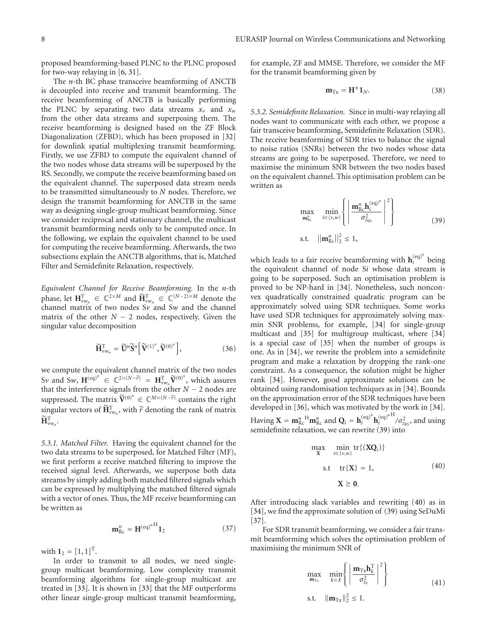proposed beamforming-based PLNC to the PLNC proposed for two-way relaying in [6, 31].

The *n*-th BC phase transceive beamforming of ANCTB is decoupled into receive and transmit beamforming. The receive beamforming of ANCTB is basically performing the PLNC by separating two data streams  $x_v$  and  $x_w$ from the other data streams and superposing them. The receive beamforming is designed based on the ZF Block Diagonalization (ZFBD), which has been proposed in [32] for downlink spatial multiplexing transmit beamforming. Firstly, we use ZFBD to compute the equivalent channel of the two nodes whose data streams will be superposed by the RS. Secondly, we compute the receive beamforming based on the equivalent channel. The superposed data stream needs to be transmitted simultaneously to *N* nodes. Therefore, we design the transmit beamforming for ANCTB in the same way as designing single-group multicast beamforming. Since we consider reciprocal and stationary channel, the multicast transmit beamforming needs only to be computed once. In the following, we explain the equivalent channel to be used for computing the receive beamforming. Afterwards, the two subsections explain the ANCTB algorithms, that is, Matched Filter and Semidefinite Relaxation, respectively.

*Equivalent Channel for Receive Beamforming.* In the *n*-th *Equivalent Channel for Receive Beamforming.* In the *n*-th phase, let  $\mathbf{H}_{vw_n}^{\mathrm{T}} \in \mathbb{C}^{2 \times M}$  and  $\widetilde{\mathbf{H}}_{vw_n}^{\mathrm{T}} \in \mathbb{C}^{(N-2) \times M}$  denote the channel matrix of two nodes S*v* and S*w* and the channel matrix of the other *N* − 2 nodes, respectively. Given the<br>
singular value decomposition<br>  $\tilde{\mathbf{H}}_{v w_n}^{\mathrm{T}} = \tilde{\mathbf{U}}^n \tilde{\mathbf{S}}^n [\tilde{\mathbf{V}}^{(1)^n}, \tilde{\mathbf{V}}^{(0)^n}],$  (36)  $\widetilde{\mathbf{H}}_{v w_n}^{\rm T} = \widetilde{\mathbf{U}}^n \widetilde{\mathbf{S}}^n$ 

composition  
\n
$$
\widetilde{\mathbf{H}}_{v_{W_n}}^{\mathrm{T}} = \widetilde{\mathbf{U}}^n \widetilde{\mathbf{S}}^n \left[ \widetilde{\mathbf{V}}^{(1)^n}, \widetilde{\mathbf{V}}^{(0)^n} \right],\tag{36}
$$

we compute the equivalent channel matrix of the two nodes *Sv* and *Sw*, **H**<sup>(eq)<sup>*n*</sup> ∈  $\mathbb{C}^{2\times(N-\tilde{r})}$  = **H**<sup>T</sup><sub>*vw<sub>n</sub></sub></sub>*  $\widetilde{V}^{(0)^n}$ *, which assures that the interference signals from the other <i>N* − 2 nodes are suppressed. The matrix  $\widetilde{V}^{(0)^n}$  ∈  $\mathbb{C}^{M\times(N-\tilde$ that the interference signals from the other *N* − 2 nodes are suppressed. The matrix  $\tilde{V}^{(0)^n} \in \mathbb{C}^{M \times (N-\tilde{r})}$  contains the right singular vectors of  $\tilde{H}^T_{\nu\nu_n}$ , with  $\tilde{r}$  denoting the rank of matr suppressed. The matrix  $\widetilde{\mathbf{V}}^{(0)^n} \in \mathbb{C}^{M \times (N - \widetilde{r})}$  contains the right singular vectors of  $\widetilde{\mathbf{H}}_{\nu w}^T$ , with  $\widetilde{r}$  denoting the rank of matrix  $\widetilde{\mathbf{H}}_{vw}^{\mathrm{T}}$ .

*5.3.1. Matched Filter.* Having the equivalent channel for the two data streams to be superposed, for Matched Filter (MF), we first perform a receive matched filtering to improve the received signal level. Afterwards, we superpose both data streams by simply adding both matched filtered signals which can be expressed by multiplying the matched filtered signals with a vector of ones. Thus, the MF receive beamforming can be written as

$$
\mathbf{m}_{\text{Rc}}^{n} = \mathbf{H}^{(\text{eq})^{n}} \mathbf{1}_{2} \tag{37}
$$

with  $\mathbf{1}_2 = [1, 1]^T$ .

In order to transmit to all nodes, we need singlegroup multicast beamforming. Low complexity transmit beamforming algorithms for single-group multicast are treated in [33]. It is shown in [33] that the MF outperforms other linear single-group multicast transmit beamforming, for example, ZF and MMSE. Therefore, we consider the MF for the transmit beamforming given by

$$
\mathbf{m}_{\mathrm{Tx}} = \mathbf{H}^* \mathbf{1}_N. \tag{38}
$$

*5.3.2. Semidefinite Relaxation.* Since in multi-way relaying all nodes want to communicate with each other, we propose a fair transceive beamforming, Semidefinite Relaxation (SDR). The receive beamforming of SDR tries to balance the signal to noise ratios (SNRs) between the two nodes whose data streams are going to be superposed. Therefore, we need to maximise the minimum SNR between the two nodes based on the equivalent channel. This optimisation problem can be written as

$$
\max_{\mathbf{m}_{\text{RC}}^n} \quad \min_{i \in \{\nu, w\}} \left\{ \left| \frac{\mathbf{m}_{\text{RC}}^n \mathbf{h}_i^{(\text{eq})^n}}{\sigma_{z_{\text{RS}}}^2} \right|^2 \right\} \tag{39}
$$
\n
$$
\text{s.t.} \quad \left| \left| \mathbf{m}_{\text{RC}}^n \right| \right|_2^2 \le 1,
$$

which leads to a fair receive beamforming with  $h_i^{(eq)^n}$  being the equivalent channel of node S*i* whose data stream is going to be superposed. Such an optimisation problem is proved to be NP-hard in [34]. Nonetheless, such nonconvex quadratically constrained quadratic program can be approximately solved using SDR techniques. Some works have used SDR techniques for approximately solving maxmin SNR problems, for example, [34] for single-group multicast and [35] for multigroup multicast, where [34] is a special case of [35] when the number of groups is one. As in [34], we rewrite the problem into a semidefinite program and make a relaxation by dropping the rank-one constraint. As a consequence, the solution might be higher rank [34]. However, good approximate solutions can be obtained using randomisation techniques as in [34]. Bounds on the approximation error of the SDR techniques have been developed in [36], which was motivated by the work in [34].

Having  $\mathbf{X} = \mathbf{m}_{\text{Rc}}^n$ <sup>H</sup> $\mathbf{m}_{\text{Rc}}^n$  and  $\mathbf{Q}_i = \mathbf{h}_i^{(\text{eq})^n} \mathbf{h}_i^{(\text{eq})^n}$  $\frac{H}{\sigma_{z_{\text{RS}}}^2}$ , and using semidefinite relaxation, we can rewrite (39) into

$$
\max_{\mathbf{X}} \min_{i \in \{y, w\}} \text{tr}\{(\mathbf{XQ}_i)\}
$$
\n
$$
\text{s.t.} \quad \text{tr}\{\mathbf{X}\} = 1,\tag{40}
$$
\n
$$
\mathbf{X} \geq \mathbf{0}.
$$

After introducing slack variables and rewriting (40) as in [34], we find the approximate solution of (39) using SeDuMi [37].

For SDR transmit beamforming, we consider a fair transmit beamforming which solves the optimisation problem of maximising the minimum SNR of

$$
\max_{\mathbf{m}_{\text{Tx}}} \quad \min_{k \in \mathcal{I}} \left\{ \left| \frac{\mathbf{m}_{\text{Tx}} \mathbf{h}_k^{\text{T}}}{\sigma_{z_k}^2} \right|^2 \right\} \n\text{s.t.} \quad \|\mathbf{m}_{\text{Tx}}\|_2^2 \le 1.
$$
\n(41)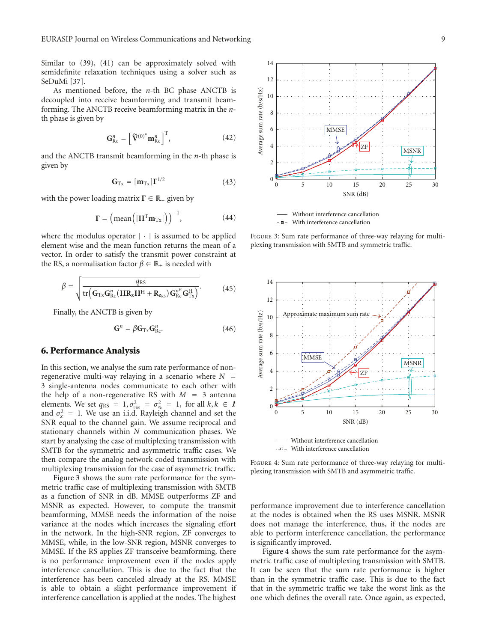Similar to (39), (41) can be approximately solved with semidefinite relaxation techniques using a solver such as SeDuMi [37].

As mentioned before, the *n*-th BC phase ANCTB is decoupled into receive beamforming and transmit beamforming. The ANCTB receive beamforming matrix in the *n*-<br>th phase is given by<br> $G_{\text{Rc}}^n = \left[ \tilde{\mathbf{V}}^{(0)^n} \mathbf{m}_{\text{Rc}}^n \right]^T$ , (42) th phase is given by

$$
\mathbf{G}_{\text{Rc}}^{n} = \left[ \widetilde{\mathbf{V}}^{(0)^{n}} \mathbf{m}_{\text{Rc}}^{n} \right]^{T}, \tag{42}
$$

and the ANCTB transmit beamforming in the *n*-th phase is given by

$$
\mathbf{G}_{\mathrm{Tx}} = [\mathbf{m}_{\mathrm{Tx}}] \mathbf{\Gamma}^{1/2} \tag{43}
$$

with the power loading matrix **Γ** ∈ ℝ<sub>+</sub> given by

$$
In F In In
$$
  
2. A  
3. A  
3. A  
3. A  
5. A  
44  
5. A  
5. A  
5. A  
5. A  
6. A  
7. B  
7. B  
8. A  
9. B  
9. A  
9. B  
10. A  
10. A  
10. A

where the modulus operator  $|\cdot|$  is assumed to be applied element wise and the mean function returns the mean of a vector. In order to satisfy the transmit power constraint at vector. In order to satisfy the transmit power const<br>the RS, a normalisation factor  $\beta \in \mathbb{R}_+$  is needed with

$$
\beta, \text{ a normalisation factor } \beta \in \mathbb{R}_+ \text{ is needed with}
$$
\n
$$
\beta = \sqrt{\frac{q_{\text{RS}}}{\text{tr}\left(\mathbf{G}_{\text{Tx}}\mathbf{G}_{\text{RC}}^n(\mathbf{H}\mathbf{R}_{\mathbf{x}}\mathbf{H}^{\text{H}} + \mathbf{R}_{\text{Z}_{\text{RS}}})\mathbf{G}_{\text{RC}}^{n^{\text{H}}}\mathbf{G}_{\text{Tx}}^{\text{H}}\right)}}.
$$
\n(45)

Finally, the ANCTB is given by

$$
\mathbf{G}^n = \beta \mathbf{G}_{\mathrm{Tx}} \mathbf{G}_{\mathrm{Rc}}^n. \tag{46}
$$

#### **6. Performance Analysis**

In this section, we analyse the sum rate performance of nonregenerative multi-way relaying in a scenario where  $N =$ 3 single-antenna nodes communicate to each other with the help of a non-regenerative RS with  $M = 3$  antenna elements. We set  $q_{RS} = 1, \sigma_{z_{RS}}^2 = \sigma_{z_k}^2 = 1$ , for all  $k, k \in \mathcal{L}$ and  $\sigma_x^2 = 1$ . We use an i.i.d. Rayleigh channel and set the SNR equal to the channel gain. We assume reciprocal and stationary channels within *N* communication phases. We start by analysing the case of multiplexing transmission with SMTB for the symmetric and asymmetric traffic cases. We then compare the analog network coded transmission with multiplexing transmission for the case of asymmetric traffic.

Figure 3 shows the sum rate performance for the symmetric traffic case of multiplexing transmission with SMTB as a function of SNR in dB. MMSE outperforms ZF and MSNR as expected. However, to compute the transmit beamforming, MMSE needs the information of the noise variance at the nodes which increases the signaling effort in the network. In the high-SNR region, ZF converges to MMSE, while, in the low-SNR region, MSNR converges to MMSE. If the RS applies ZF transceive beamforming, there is no performance improvement even if the nodes apply interference cancellation. This is due to the fact that the interference has been canceled already at the RS. MMSE is able to obtain a slight performance improvement if interference cancellation is applied at the nodes. The highest



Without interference cancellation With interference cancellation

FIGURE 3: Sum rate performance of three-way relaying for multiplexing transmission with SMTB and symmetric traffic.



With interference cancellation

FIGURE 4: Sum rate performance of three-way relaying for multiplexing transmission with SMTB and asymmetric traffic.

performance improvement due to interference cancellation at the nodes is obtained when the RS uses MSNR. MSNR does not manage the interference, thus, if the nodes are able to perform interference cancellation, the performance is significantly improved.

Figure 4 shows the sum rate performance for the asymmetric traffic case of multiplexing transmission with SMTB. It can be seen that the sum rate performance is higher than in the symmetric traffic case. This is due to the fact that in the symmetric traffic we take the worst link as the one which defines the overall rate. Once again, as expected,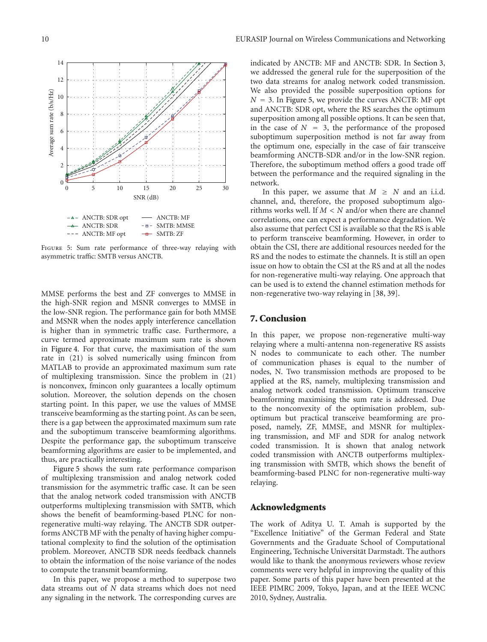

Figure 5: Sum rate performance of three-way relaying with asymmetric traffic: SMTB versus ANCTB.

MMSE performs the best and ZF converges to MMSE in the high-SNR region and MSNR converges to MMSE in the low-SNR region. The performance gain for both MMSE and MSNR when the nodes apply interference cancellation is higher than in symmetric traffic case. Furthermore, a curve termed approximate maximum sum rate is shown in Figure 4. For that curve, the maximisation of the sum rate in (21) is solved numerically using fmincon from MATLAB to provide an approximated maximum sum rate of multiplexing transmission. Since the problem in (21) is nonconvex, fmincon only guarantees a locally optimum solution. Moreover, the solution depends on the chosen starting point. In this paper, we use the values of MMSE transceive beamforming as the starting point. As can be seen, there is a gap between the approximated maximum sum rate and the suboptimum transceive beamforming algorithms. Despite the performance gap, the suboptimum transceive beamforming algorithms are easier to be implemented, and thus, are practically interesting.

Figure 5 shows the sum rate performance comparison of multiplexing transmission and analog network coded transmission for the asymmetric traffic case. It can be seen that the analog network coded transmission with ANCTB outperforms multiplexing transmission with SMTB, which shows the benefit of beamforming-based PLNC for nonregenerative multi-way relaying. The ANCTB SDR outperforms ANCTB MF with the penalty of having higher computational complexity to find the solution of the optimisation problem. Moreover, ANCTB SDR needs feedback channels to obtain the information of the noise variance of the nodes to compute the transmit beamforming.

In this paper, we propose a method to superpose two data streams out of *N* data streams which does not need any signaling in the network. The corresponding curves are

indicated by ANCTB: MF and ANCTB: SDR. In Section 3, we addressed the general rule for the superposition of the two data streams for analog network coded transmission. We also provided the possible superposition options for  $N = 3$ . In Figure 5, we provide the curves ANCTB: MF opt and ANCTB: SDR opt, where the RS searches the optimum superposition among all possible options. It can be seen that, in the case of  $N = 3$ , the performance of the proposed suboptimum superposition method is not far away from the optimum one, especially in the case of fair transceive beamforming ANCTB-SDR and/or in the low-SNR region. Therefore, the suboptimum method offers a good trade off between the performance and the required signaling in the network.

In this paper, we assume that  $M \geq N$  and an i.i.d. channel, and, therefore, the proposed suboptimum algorithms works well. If  $M < N$  and/or when there are channel correlations, one can expect a performance degradation. We also assume that perfect CSI is available so that the RS is able to perform transceive beamforming. However, in order to obtain the CSI, there are additional resources needed for the RS and the nodes to estimate the channels. It is still an open issue on how to obtain the CSI at the RS and at all the nodes for non-regenerative multi-way relaying. One approach that can be used is to extend the channel estimation methods for non-regenerative two-way relaying in [38, 39].

### **7. Conclusion**

In this paper, we propose non-regenerative multi-way relaying where a multi-antenna non-regenerative RS assists N nodes to communicate to each other. The number of communication phases is equal to the number of nodes, N. Two transmission methods are proposed to be applied at the RS, namely, multiplexing transmission and analog network coded transmission. Optimum transceive beamforming maximising the sum rate is addressed. Due to the nonconvexity of the optimisation problem, suboptimum but practical transceive beamforming are proposed, namely, ZF, MMSE, and MSNR for multiplexing transmission, and MF and SDR for analog network coded transmission. It is shown that analog network coded transmission with ANCTB outperforms multiplexing transmission with SMTB, which shows the benefit of beamforming-based PLNC for non-regenerative multi-way relaying.

#### **Acknowledgments**

The work of Aditya U. T. Amah is supported by the "Excellence Initiative" of the German Federal and State Governments and the Graduate School of Computational Engineering, Technische Universitat Darmstadt. The authors ¨ would like to thank the anonymous reviewers whose review comments were very helpful in improving the quality of this paper. Some parts of this paper have been presented at the IEEE PIMRC 2009, Tokyo, Japan, and at the IEEE WCNC 2010, Sydney, Australia.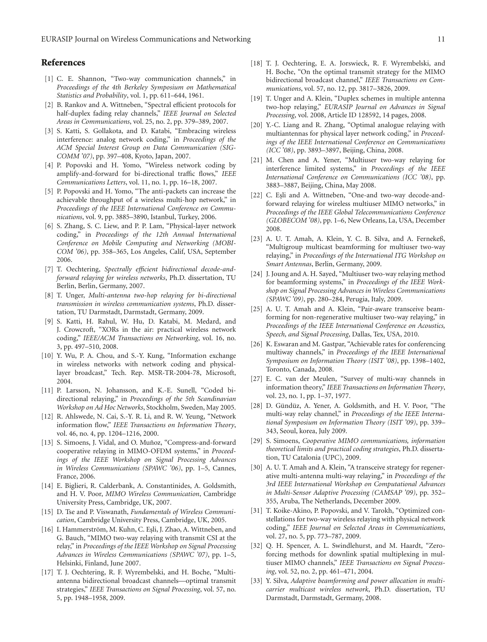#### **References**

- [1] C. E. Shannon, "Two-way communication channels," in *Proceedings of the 4th Berkeley Symposium on Mathematical Statistics and Probability*, vol. 1, pp. 611–644, 1961.
- [2] B. Rankov and A. Wittneben, "Spectral efficient protocols for half-duplex fading relay channels," *IEEE Journal on Selected Areas in Communications*, vol. 25, no. 2, pp. 379–389, 2007.
- [3] S. Katti, S. Gollakota, and D. Katabi, "Embracing wireless interference: analog network coding," in *Proceedings of the ACM Special Interest Group on Data Communication (SIG-COMM '07)*, pp. 397–408, Kyoto, Japan, 2007.
- [4] P. Popovski and H. Yomo, "Wireless network coding by amplify-and-forward for bi-directional traffic flows," *IEEE Communications Letters*, vol. 11, no. 1, pp. 16–18, 2007.
- [5] P. Popovski and H. Yomo, "The anti-packets can increase the achievable throughput of a wireless multi-hop network," in *Proceedings of the IEEE International Conference on Communications*, vol. 9, pp. 3885–3890, Istanbul, Turkey, 2006.
- [6] S. Zhang, S. C. Liew, and P. P. Lam, "Physical-layer network coding," in *Proceedings of the 12th Annual International Conference on Mobile Computing and Networking (MOBI-COM '06)*, pp. 358–365, Los Angeles, Calif, USA, September 2006.
- [7] T. Oechtering, Spectrally efficient bidirectional decode-and*forward relaying for wireless networks*, Ph.D. dissertation, TU Berlin, Berlin, Germany, 2007.
- [8] T. Unger, *Multi-antenna two-hop relaying for bi-directional transmission in wireless communication systems*, Ph.D. dissertation, TU Darmstadt, Darmstadt, Germany, 2009.
- [9] S. Katti, H. Rahul, W. Hu, D. Katabi, M. Medard, and J. Crowcroft, "XORs in the air: practical wireless network coding," *IEEE/ACM Transactions on Networking*, vol. 16, no. 3, pp. 497–510, 2008.
- [10] Y. Wu, P. A. Chou, and S.-Y. Kung, "Information exchange in wireless networks with network coding and physicallayer broadcast," Tech. Rep. MSR-TR-2004-78, Microsoft, 2004.
- [11] P. Larsson, N. Johansson, and K.-E. Sunell, "Coded bidirectional relaying," in *Proceedings of the 5th Scandinavian Workshop on Ad Hoc Networks*, Stockholm, Sweden, May 2005.
- [12] R. Ahlswede, N. Cai, S.-Y. R. Li, and R. W. Yeung, "Network" information flow," *IEEE Transactions on Information Theory*, vol. 46, no. 4, pp. 1204–1216, 2000.
- [13] S. Simoens, J. Vidal, and O. Muñoz, "Compress-and-forward cooperative relaying in MIMO-OFDM systems," in *Proceedings of the IEEE Workshop on Signal Processing Advances in Wireless Communications (SPAWC '06)*, pp. 1–5, Cannes, France, 2006.
- [14] E. Biglieri, R. Calderbank, A. Constantinides, A. Goldsmith, and H. V. Poor, *MIMO Wireless Communication*, Cambridge University Press, Cambridge, UK, 2007.
- [15] D. Tse and P. Viswanath, *Fundamentals of Wireless Communication*, Cambridge University Press, Cambridge, UK, 2005.
- [16] I. Hammerström, M. Kuhn, C. Eşli, J. Zhao, A. Wittneben, and G. Bauch, "MIMO two-way relaying with transmit CSI at the relay," in *Proceedings of the IEEE Workshop on Signal Processing Advances in Wireless Communications (SPAWC '07)*, pp. 1–5, Helsinki, Finland, June 2007.
- [17] T. J. Oechtering, R. F. Wyrembelski, and H. Boche, "Multiantenna bidirectional broadcast channels—optimal transmit strategies," *IEEE Transactions on Signal Processing*, vol. 57, no. 5, pp. 1948–1958, 2009.
- [18] T. J. Oechtering, E. A. Jorswieck, R. F. Wyrembelski, and H. Boche, "On the optimal transmit strategy for the MIMO bidirectional broadcast channel," *IEEE Transactions on Communications*, vol. 57, no. 12, pp. 3817–3826, 2009.
- [19] T. Unger and A. Klein, "Duplex schemes in multiple antenna two-hop relaying," *EURASIP Journal on Advances in Signal Processing*, vol. 2008, Article ID 128592, 14 pages, 2008.
- [20] Y.-C. Liang and R. Zhang, "Optimal analogue relaying with multiantennas for physical layer network coding," in *Proceedings of the IEEE International Conference on Communications (ICC '08)*, pp. 3893–3897, Beijing, China, 2008.
- [21] M. Chen and A. Yener, "Multiuser two-way relaying for interference limited systems," in *Proceedings of the IEEE International Conference on Communications (ICC '08)*, pp. 3883–3887, Beijing, China, May 2008.
- [22] C. Esli and A. Wittneben, "One-and two-way decode-andforward relaying for wireless multiuser MIMO networks," in *Proceedings of the IEEE Global Telecommunications Conference (GLOBECOM '08)*, pp. 1–6, New Orleans, La, USA, December 2008.
- [23] A. U. T. Amah, A. Klein, Y. C. B. Silva, and A. Fernekeß, "Multigroup multicast beamforming for multiuser two-way relaying," in *Proceedings of the International ITG Workshop on Smart Antennas*, Berlin, Germany, 2009.
- [24] J. Joung and A. H. Sayed, "Multiuser two-way relaying method for beamforming systems," in *Proceedings of the IEEE Workshop on Signal Processing Advances in Wireless Communications (SPAWC '09)*, pp. 280–284, Perugia, Italy, 2009.
- [25] A. U. T. Amah and A. Klein, "Pair-aware transceive beamforming for non-regenerative multiuser two-way relaying," in *Proceedings of the IEEE International Conference on Acoustics, Speech, and Signal Processing*, Dallas, Tex, USA, 2010.
- [26] K. Eswaran and M. Gastpar, "Achievable rates for conferencing multiway channels," in *Proceedings of the IEEE International Symposium on Information Theory (ISIT '08)*, pp. 1398–1402, Toronto, Canada, 2008.
- [27] E. C. van der Meulen, "Survey of multi-way channels in information theory," *IEEE Transactions on Information Theory*, vol. 23, no. 1, pp. 1–37, 1977.
- [28] D. Gündüz, A. Yener, A. Goldsmith, and H. V. Poor, "The multi-way relay channel," in *Proceedings of the IEEE International Symposium on Information Theory (ISIT '09)*, pp. 339– 343, Seoul, korea, July 2009.
- [29] S. Simoens, *Cooperative MIMO communications, information theoretical limits and practical coding strategies*, Ph.D. dissertation, TU Catalonia (UPC), 2009.
- [30] A. U. T. Amah and A. Klein, "A transceive strategy for regenerative multi-antenna multi-way relaying," in *Proceedings of the 3rd IEEE International Workshop on Computational Advances in Multi-Sensor Adaptive Processing (CAMSAP '09)*, pp. 352– 355, Aruba, The Netherlands, December 2009.
- [31] T. Koike-Akino, P. Popovski, and V. Tarokh, "Optimized constellations for two-way wireless relaying with physical network coding," *IEEE Journal on Selected Areas in Communications*, vol. 27, no. 5, pp. 773–787, 2009.
- [32] Q. H. Spencer, A. L. Swindlehurst, and M. Haardt, "Zeroforcing methods for downlink spatial multiplexing in multiuser MIMO channels," *IEEE Transactions on Signal Processing*, vol. 52, no. 2, pp. 461–471, 2004.
- [33] Y. Silva, *Adaptive beamforming and power allocation in multicarrier multicast wireless network*, Ph.D. dissertation, TU Darmstadt, Darmstadt, Germany, 2008.